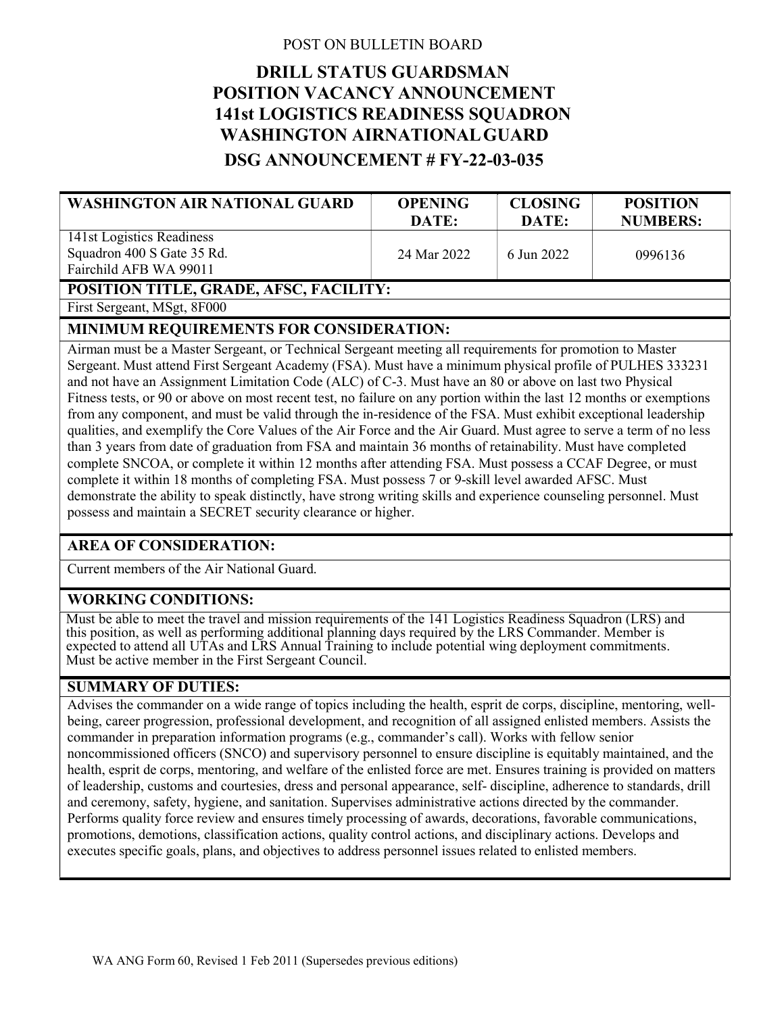## POST ON BULLETIN BOARD

# DRILL STATUS GUARDSMAN POSITION VACANCY ANNOUNCEMENT 141st LOGISTICS READINESS SQUADRON WASHINGTON AIRNATIONAL GUARD DSG ANNOUNCEMENT # FY-22-03-035

| <b>WASHINGTON AIR NATIONAL GUARD</b>                                                                              | <b>OPENING</b><br>DATE: | <b>CLOSING</b><br>DATE: | <b>POSITION</b><br><b>NUMBERS:</b> |
|-------------------------------------------------------------------------------------------------------------------|-------------------------|-------------------------|------------------------------------|
| 141st Logistics Readiness<br>Squadron 400 S Gate 35 Rd.<br>Fairchild AFB WA 99011                                 | 24 Mar 2022             | 6 Jun 2022              | 0996136                            |
| POSITION TITLE, GRADE, AFSC, FACILITY:                                                                            |                         |                         |                                    |
| $\Gamma_{\text{inst}}$ $\Gamma_{\text{concon}}$ $\Lambda_{\text{IC}}$ $\rightarrow$ $\Gamma_{\text{C}}$ $\Lambda$ |                         |                         |                                    |

First Sergeant, MSgt, 8F000

### MINIMUM REQUIREMENTS FOR CONSIDERATION:

Airman must be a Master Sergeant, or Technical Sergeant meeting all requirements for promotion to Master Sergeant. Must attend First Sergeant Academy (FSA). Must have a minimum physical profile of PULHES 333231 and not have an Assignment Limitation Code (ALC) of C-3. Must have an 80 or above on last two Physical Fitness tests, or 90 or above on most recent test, no failure on any portion within the last 12 months or exemptions from any component, and must be valid through the in-residence of the FSA. Must exhibit exceptional leadership qualities, and exemplify the Core Values of the Air Force and the Air Guard. Must agree to serve a term of no less than 3 years from date of graduation from FSA and maintain 36 months of retainability. Must have completed complete SNCOA, or complete it within 12 months after attending FSA. Must possess a CCAF Degree, or must complete it within 18 months of completing FSA. Must possess 7 or 9-skill level awarded AFSC. Must demonstrate the ability to speak distinctly, have strong writing skills and experience counseling personnel. Must possess and maintain a SECRET security clearance or higher.

# AREA OF CONSIDERATION:

Current members of the Air National Guard.

# WORKING CONDITIONS:

Must be able to meet the travel and mission requirements of the 141 Logistics Readiness Squadron (LRS) and this position, as well as performing additional planning days required by the LRS Commander. Member is expected to attend all UTAs and LRS Annual Training to include potential wing deployment commitments. Must be active member in the First Sergeant Council.

#### SUMMARY OF DUTIES:

Advises the commander on a wide range of topics including the health, esprit de corps, discipline, mentoring, wellbeing, career progression, professional development, and recognition of all assigned enlisted members. Assists the commander in preparation information programs (e.g., commander's call). Works with fellow senior noncommissioned officers (SNCO) and supervisory personnel to ensure discipline is equitably maintained, and the health, esprit de corps, mentoring, and welfare of the enlisted force are met. Ensures training is provided on matters of leadership, customs and courtesies, dress and personal appearance, self- discipline, adherence to standards, drill and ceremony, safety, hygiene, and sanitation. Supervises administrative actions directed by the commander. Performs quality force review and ensures timely processing of awards, decorations, favorable communications, promotions, demotions, classification actions, quality control actions, and disciplinary actions. Develops and executes specific goals, plans, and objectives to address personnel issues related to enlisted members.